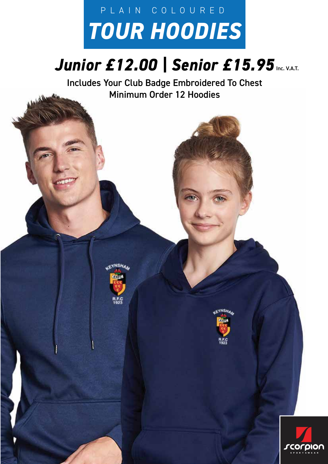# *TOUR HOODIES* PLAIN COLOURED

## **Junior £12.00 | Senior £15.95** Inc. V.A.T.

Includes Your Club Badge Embroidered To Chest Minimum Order 12 Hoodies

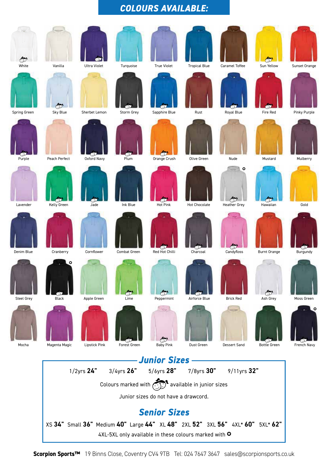#### *COLOURS AVAILABLE:*



**Scorpion Sports™** 19 Binns Close, Coventry CV4 9TB Tel: 024 7647 3647 sales@scorpionsports.co.uk